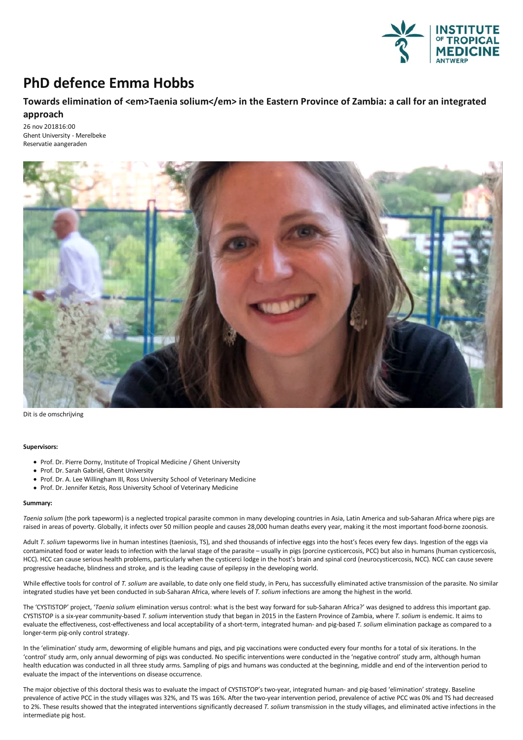

## **PhD defence Emma Hobbs**

## **Towards elimination of <em>Taenia solium</em> in the Eastern Province ofZambia: a call for an integrated approach**

26 nov 201816:00 Ghent University - Merelbeke Reservatie aangeraden



Dit is de omschrijving

## **Supervisors:**

- Prof. Dr. Pierre Dorny, Institute of Tropical Medicine / Ghent University
- Prof. Dr. Sarah Gabriël, Ghent University
- Prof. Dr. A. Lee Willingham III, Ross University School of Veterinary Medicine
- Prof. Dr. Jennifer Ketzis, Ross University School of Veterinary Medicine

## **Summary:**

*Taenia solium* (the pork tapeworm) isa neglected tropical parasite common in many developing countries in Asia, Latin Americaand sub-Saharan Africa where pigsare raised in areas of poverty. Globally, it infects over 50 million people and causes 28,000 human deaths every year, making it the most important food-borne zoonosis.

Adult T. solium tapeworms live in human intestines (taeniosis, TS), and shed thousands of infective eggs into the host's feces every few days. Ingestion of the eggs via contaminated food or water leads to infection with the larval stage of the parasite – usually in pigs (porcine cysticercosis, PCC) but also in humans (human cysticercosis, HCC). HCC can cause serious health problems, particularly when the cysticerci lodge in the host's brain and spinal cord (neurocysticercosis, NCC). NCC can cause severe progressive headache, blindness and stroke, and is the leading cause of epilepsy in the developing world.

While effective tools for control of T. solium are available, to date only one field study, in Peru, has successfully eliminated active transmission of the parasite. No similar integrated studies have yet been conducted in sub-Saharan Africa, where levels of*T. solium* infectionsare among the highest in the world.

The 'CYSTISTOP' project, '*Taenia solium* elimination versus control: what is the best way forward for sub-Saharan Africa?' was designed to address this importantgap. CYSTISTOP is a six-year community-based *T. solium* intervention study that began in 2015 in the Eastern Province of Zambia, where *T. solium* is endemic. It aims to evaluate the effectiveness, cost-effectiveness and local acceptability of a short-term, integrated human- and pig-based *T. solium* elimination package as compared to a longer-term pig-only control strategy.

In the 'elimination' study arm, deworming of eligible humans and pigs, and pig vaccinations were conducted every four months for a total of six iterations. In the 'control' study arm, only annual deworming of pigs was conducted. No specific interventions were conducted in the 'negative control' study arm, although human health education was conducted in all three study arms. Sampling of pigs and humans was conducted at the beginning, middle and end of the intervention period to evaluate the impact of the interventions on disease occurrence.

The major objective of this doctoral thesis was to evaluate the impact of CYSTISTOP's two-year, integrated human-and pig-based 'elimination' strategy. Baseline prevalence of active PCC in the study villages was 32%, and TS was 16%. After the two-year intervention period, prevalence of active PCC was 0% and TS had decreased to 2%. These results showed that the integrated interventions significantly decreased *T. solium* transmission in the study villages, and eliminated active infections in the intermediate pig host.